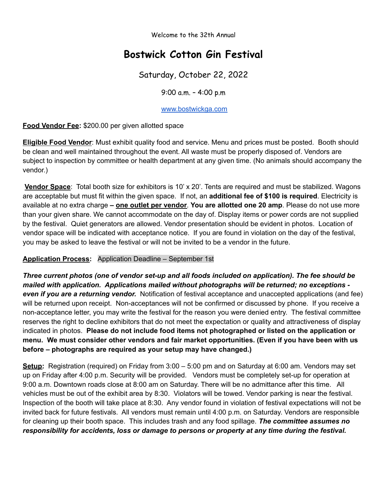Welcome to the 32th Annual

# **Bostwick Cotton Gin Festival**

Saturday, October 22, 2022

9:00 a.m. – 4:00 p.m

#### [www.bostwickga.com](http://www.bostwickga.com)

**Food Vendor Fee:** \$200.00 per given allotted space

**Eligible Food Vendor**: Must exhibit quality food and service. Menu and prices must be posted. Booth should be clean and well maintained throughout the event. All waste must be properly disposed of. Vendors are subject to inspection by committee or health department at any given time. (No animals should accompany the vendor.)

**Vendor Space**: Total booth size for exhibitors is 10' x 20'. Tents are required and must be stabilized. Wagons are acceptable but must fit within the given space. If not, an **additional fee of \$100 is required**. Electricity is available at no extra charge **– one outlet per vendor**. **You are allotted one 20 amp**. Please do not use more than your given share. We cannot accommodate on the day of. Display items or power cords are not supplied by the festival. Quiet generators are allowed. Vendor presentation should be evident in photos. Location of vendor space will be indicated with acceptance notice. If you are found in violation on the day of the festival, you may be asked to leave the festival or will not be invited to be a vendor in the future.

#### **Application Process:** Application Deadline – September 1st

*Three current photos (one of vendor set-up and all foods included on application). The fee should be mailed with application. Applications mailed without photographs will be returned; no exceptions even if you are a returning vendor.* Notification of festival acceptance and unaccepted applications (and fee) will be returned upon receipt. Non-acceptances will not be confirmed or discussed by phone. If you receive a non-acceptance letter, you may write the festival for the reason you were denied entry. The festival committee reserves the right to decline exhibitors that do not meet the expectation or quality and attractiveness of display indicated in photos. **Please do not include food items not photographed or listed on the application or menu. We must consider other vendors and fair market opportunities. (Even if you have been with us before – photographs are required as your setup may have changed.)**

**Setup:** Registration (required) on Friday from 3:00 – 5:00 pm and on Saturday at 6:00 am. Vendors may set up on Friday after 4:00 p.m. Security will be provided. Vendors must be completely set-up for operation at 9:00 a.m. Downtown roads close at 8:00 am on Saturday. There will be no admittance after this time. All vehicles must be out of the exhibit area by 8:30. Violators will be towed. Vendor parking is near the festival. Inspection of the booth will take place at 8:30. Any vendor found in violation of festival expectations will not be invited back for future festivals. All vendors must remain until 4:00 p.m. on Saturday. Vendors are responsible for cleaning up their booth space. This includes trash and any food spillage. *The committee assumes no responsibility for accidents, loss or damage to persons or property at any time during the festival.*